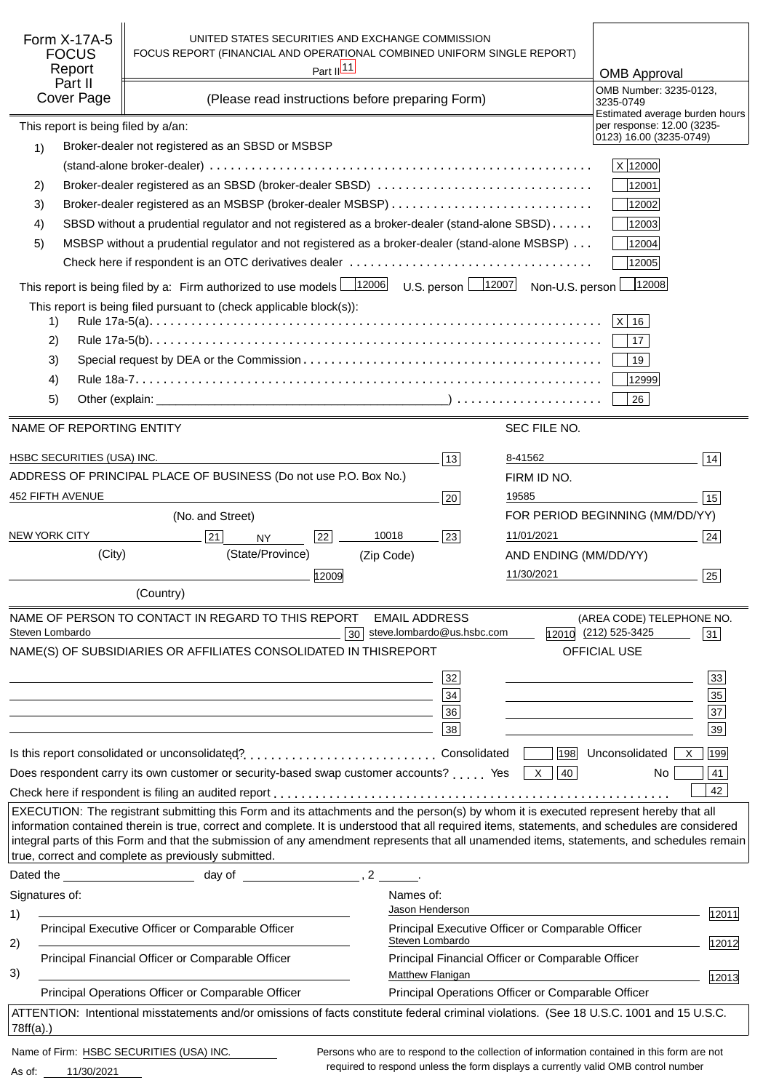| Form X-17A-5<br><b>FOCUS</b><br>Report<br>Part II<br>Cover Page | UNITED STATES SECURITIES AND EXCHANGE COMMISSION<br>FOCUS REPORT (FINANCIAL AND OPERATIONAL COMBINED UNIFORM SINGLE REPORT)<br>Part II <sup>11</sup><br>(Please read instructions before preparing Form)                                                                                                                                                                                                                                                                                      |                                                                                            |                       | <b>OMB Approval</b><br>OMB Number: 3235-0123,<br>3235-0749<br>Estimated average burden hours |
|-----------------------------------------------------------------|-----------------------------------------------------------------------------------------------------------------------------------------------------------------------------------------------------------------------------------------------------------------------------------------------------------------------------------------------------------------------------------------------------------------------------------------------------------------------------------------------|--------------------------------------------------------------------------------------------|-----------------------|----------------------------------------------------------------------------------------------|
| This report is being filed by a/an:                             |                                                                                                                                                                                                                                                                                                                                                                                                                                                                                               |                                                                                            |                       | per response: 12.00 (3235-<br>0123) 16.00 (3235-0749)                                        |
| 1)                                                              | Broker-dealer not registered as an SBSD or MSBSP                                                                                                                                                                                                                                                                                                                                                                                                                                              |                                                                                            |                       |                                                                                              |
|                                                                 |                                                                                                                                                                                                                                                                                                                                                                                                                                                                                               |                                                                                            |                       | X 12000                                                                                      |
| 2)<br>3)                                                        | Broker-dealer registered as an SBSD (broker-dealer SBSD)                                                                                                                                                                                                                                                                                                                                                                                                                                      |                                                                                            |                       | 12001<br>12002                                                                               |
| 4)                                                              | SBSD without a prudential regulator and not registered as a broker-dealer (stand-alone SBSD)                                                                                                                                                                                                                                                                                                                                                                                                  |                                                                                            |                       | 12003                                                                                        |
| 5)                                                              | MSBSP without a prudential regulator and not registered as a broker-dealer (stand-alone MSBSP)                                                                                                                                                                                                                                                                                                                                                                                                |                                                                                            |                       | 12004                                                                                        |
|                                                                 |                                                                                                                                                                                                                                                                                                                                                                                                                                                                                               |                                                                                            |                       | 12005                                                                                        |
|                                                                 | This report is being filed by a: Firm authorized to use models $\boxed{\qquad \qquad }$ 12006                                                                                                                                                                                                                                                                                                                                                                                                 | U.S. person $\boxed{\underline{\hspace{1cm}}\hspace{1cm}}$ 12007                           | Non-U.S. person       | 12008                                                                                        |
|                                                                 | This report is being filed pursuant to (check applicable block(s)):                                                                                                                                                                                                                                                                                                                                                                                                                           |                                                                                            |                       |                                                                                              |
| 1)                                                              |                                                                                                                                                                                                                                                                                                                                                                                                                                                                                               |                                                                                            |                       | $ X $ 16                                                                                     |
| 2)                                                              |                                                                                                                                                                                                                                                                                                                                                                                                                                                                                               |                                                                                            |                       | 17                                                                                           |
| 3)                                                              |                                                                                                                                                                                                                                                                                                                                                                                                                                                                                               |                                                                                            |                       | 19                                                                                           |
| 4)                                                              |                                                                                                                                                                                                                                                                                                                                                                                                                                                                                               |                                                                                            |                       | 12999                                                                                        |
| 5)                                                              |                                                                                                                                                                                                                                                                                                                                                                                                                                                                                               |                                                                                            |                       | 26                                                                                           |
| NAME OF REPORTING ENTITY                                        |                                                                                                                                                                                                                                                                                                                                                                                                                                                                                               |                                                                                            | SEC FILE NO.          |                                                                                              |
| HSBC SECURITIES (USA) INC.                                      |                                                                                                                                                                                                                                                                                                                                                                                                                                                                                               | 13                                                                                         | 8-41562               | 14                                                                                           |
|                                                                 | ADDRESS OF PRINCIPAL PLACE OF BUSINESS (Do not use P.O. Box No.)                                                                                                                                                                                                                                                                                                                                                                                                                              |                                                                                            | FIRM ID NO.           |                                                                                              |
| 452 FIFTH AVENUE                                                |                                                                                                                                                                                                                                                                                                                                                                                                                                                                                               | 20                                                                                         | 19585                 | 15                                                                                           |
|                                                                 | (No. and Street)                                                                                                                                                                                                                                                                                                                                                                                                                                                                              |                                                                                            |                       | FOR PERIOD BEGINNING (MM/DD/YY)                                                              |
| <b>NEW YORK CITY</b>                                            | 22<br>21<br><b>NY</b>                                                                                                                                                                                                                                                                                                                                                                                                                                                                         | 10018<br>23                                                                                | 11/01/2021            | 24                                                                                           |
| (City)                                                          | (State/Province)                                                                                                                                                                                                                                                                                                                                                                                                                                                                              | (Zip Code)                                                                                 | AND ENDING (MM/DD/YY) |                                                                                              |
|                                                                 | 12009                                                                                                                                                                                                                                                                                                                                                                                                                                                                                         |                                                                                            | 11/30/2021            | 25                                                                                           |
|                                                                 | (Country)                                                                                                                                                                                                                                                                                                                                                                                                                                                                                     |                                                                                            |                       |                                                                                              |
|                                                                 | NAME OF PERSON TO CONTACT IN REGARD TO THIS REPORT                                                                                                                                                                                                                                                                                                                                                                                                                                            | <b>EMAIL ADDRESS</b>                                                                       |                       | (AREA CODE) TELEPHONE NO.                                                                    |
| Steven Lombardo                                                 | NAME(S) OF SUBSIDIARIES OR AFFILIATES CONSOLIDATED IN THIS                                                                                                                                                                                                                                                                                                                                                                                                                                    | steve.lombardo@us.hsbc.com<br>30 <sup>1</sup><br><b>REPORT</b>                             |                       | 12010 (212) 525-3425<br>31<br>OFFICIAL USE                                                   |
|                                                                 |                                                                                                                                                                                                                                                                                                                                                                                                                                                                                               |                                                                                            |                       |                                                                                              |
|                                                                 |                                                                                                                                                                                                                                                                                                                                                                                                                                                                                               | 32                                                                                         |                       | 33                                                                                           |
|                                                                 | <u> 1980 - Johann John Stein, marwolaethau (b. 1980)</u>                                                                                                                                                                                                                                                                                                                                                                                                                                      | 34<br>36                                                                                   |                       | 35<br>$\overline{37}$                                                                        |
|                                                                 | and the control of the control of the control of the control of the control of the control of the control of the                                                                                                                                                                                                                                                                                                                                                                              | 38                                                                                         |                       | the control of the control of the control of the control of<br>39                            |
|                                                                 |                                                                                                                                                                                                                                                                                                                                                                                                                                                                                               |                                                                                            | 198                   | Unconsolidated<br>199<br>$\mathsf{X}$                                                        |
|                                                                 | Does respondent carry its own customer or security-based swap customer accounts? Yes                                                                                                                                                                                                                                                                                                                                                                                                          |                                                                                            | X    40               | 41<br>No.                                                                                    |
|                                                                 |                                                                                                                                                                                                                                                                                                                                                                                                                                                                                               |                                                                                            |                       | 42                                                                                           |
|                                                                 | EXECUTION: The registrant submitting this Form and its attachments and the person(s) by whom it is executed represent hereby that all<br>information contained therein is true, correct and complete. It is understood that all required items, statements, and schedules are considered<br>integral parts of this Form and that the submission of any amendment represents that all unamended items, statements, and schedules remain<br>true, correct and complete as previously submitted. |                                                                                            |                       |                                                                                              |
|                                                                 |                                                                                                                                                                                                                                                                                                                                                                                                                                                                                               |                                                                                            |                       |                                                                                              |
| Signatures of:                                                  |                                                                                                                                                                                                                                                                                                                                                                                                                                                                                               | Names of:                                                                                  |                       |                                                                                              |
| 1)                                                              |                                                                                                                                                                                                                                                                                                                                                                                                                                                                                               | Jason Henderson                                                                            |                       | 12011                                                                                        |
| 2)                                                              | Principal Executive Officer or Comparable Officer                                                                                                                                                                                                                                                                                                                                                                                                                                             | Principal Executive Officer or Comparable Officer<br>Steven Lombardo                       |                       | 12012                                                                                        |
| 3)                                                              | Principal Financial Officer or Comparable Officer                                                                                                                                                                                                                                                                                                                                                                                                                                             | Principal Financial Officer or Comparable Officer<br>Matthew Flanigan                      |                       | 12013                                                                                        |
|                                                                 | Principal Operations Officer or Comparable Officer                                                                                                                                                                                                                                                                                                                                                                                                                                            | Principal Operations Officer or Comparable Officer                                         |                       |                                                                                              |
| 78ff(a).                                                        | ATTENTION: Intentional misstatements and/or omissions of facts constitute federal criminal violations. (See 18 U.S.C. 1001 and 15 U.S.C.                                                                                                                                                                                                                                                                                                                                                      |                                                                                            |                       |                                                                                              |
|                                                                 | Name of Firm: HSBC SECURITIES (USA) INC.                                                                                                                                                                                                                                                                                                                                                                                                                                                      | Persons who are to respond to the collection of information contained in this form are not |                       |                                                                                              |

11/30/2021 As of:

required to respond unless the form displays a currently valid OMB control number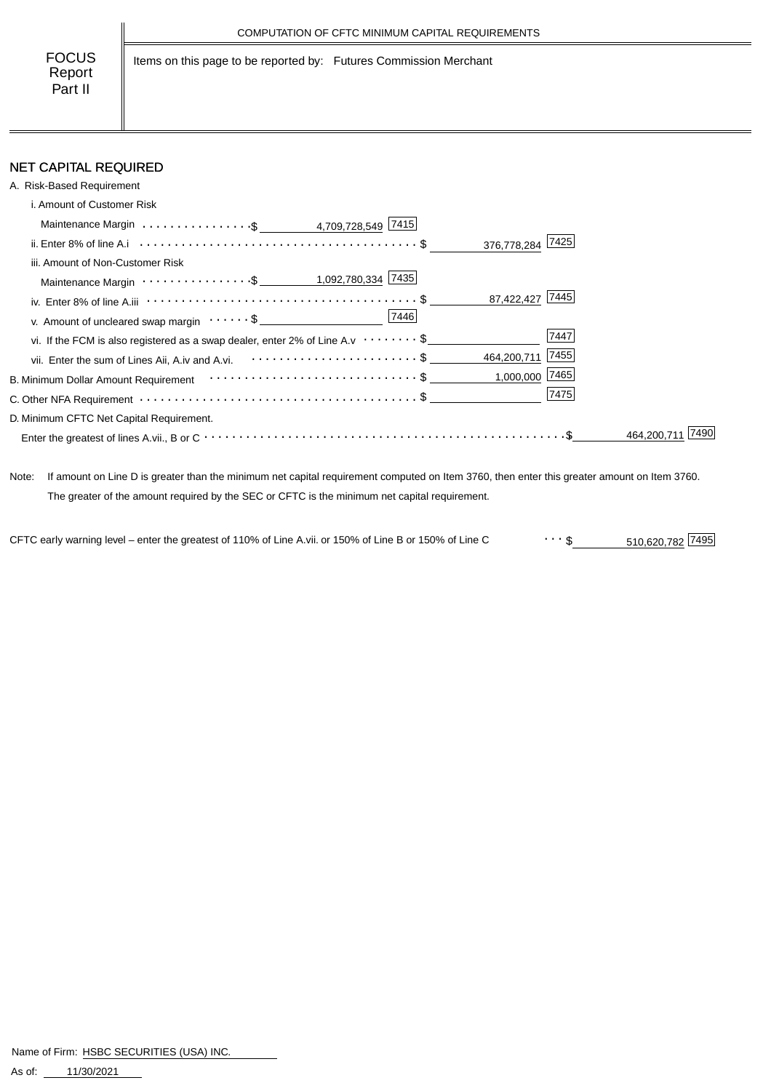Items on this page to be reported by: Futures Commission Merchant

# NET CAPITAL REQUIRED

| A. Risk-Based Requirement                                                                                           |                  |
|---------------------------------------------------------------------------------------------------------------------|------------------|
| i. Amount of Customer Risk                                                                                          |                  |
|                                                                                                                     |                  |
|                                                                                                                     | 376,778,284 7425 |
| iii. Amount of Non-Customer Risk                                                                                    |                  |
|                                                                                                                     |                  |
| iv. Enter 8% of line A.iii $\cdots \cdots \cdots \cdots \cdots \cdots \cdots \cdots \cdots \cdots \cdots \cdots$ \$ | 87,422,427 7445  |
| v. Amount of uncleared swap margin $\cdots \cdots$ \$                                                               |                  |
| vi. If the FCM is also registered as a swap dealer, enter 2% of Line A.v $\cdots \cdots$ \$                         | 7447             |
| vii. Enter the sum of Lines Aii, A.iv and A.vi. <b>Confirmation</b> of the sum of Lines Aii, A.iv and A.vi.         | 464,200,711 7455 |
|                                                                                                                     | $1,000,000$ 7465 |
|                                                                                                                     | 7475             |
| D. Minimum CFTC Net Capital Requirement.                                                                            |                  |
|                                                                                                                     | 464,200.7        |

Note: If amount on Line D is greater than the minimum net capital requirement computed on Item 3760, then enter this greater amount on Item 3760. The greater of the amount required by the SEC or CFTC is the minimum net capital requirement.

510,620,782 \$ CFTC early warning level – enter the greatest of 110% of Line A.vii. or 150% of Line B or 150% of Line C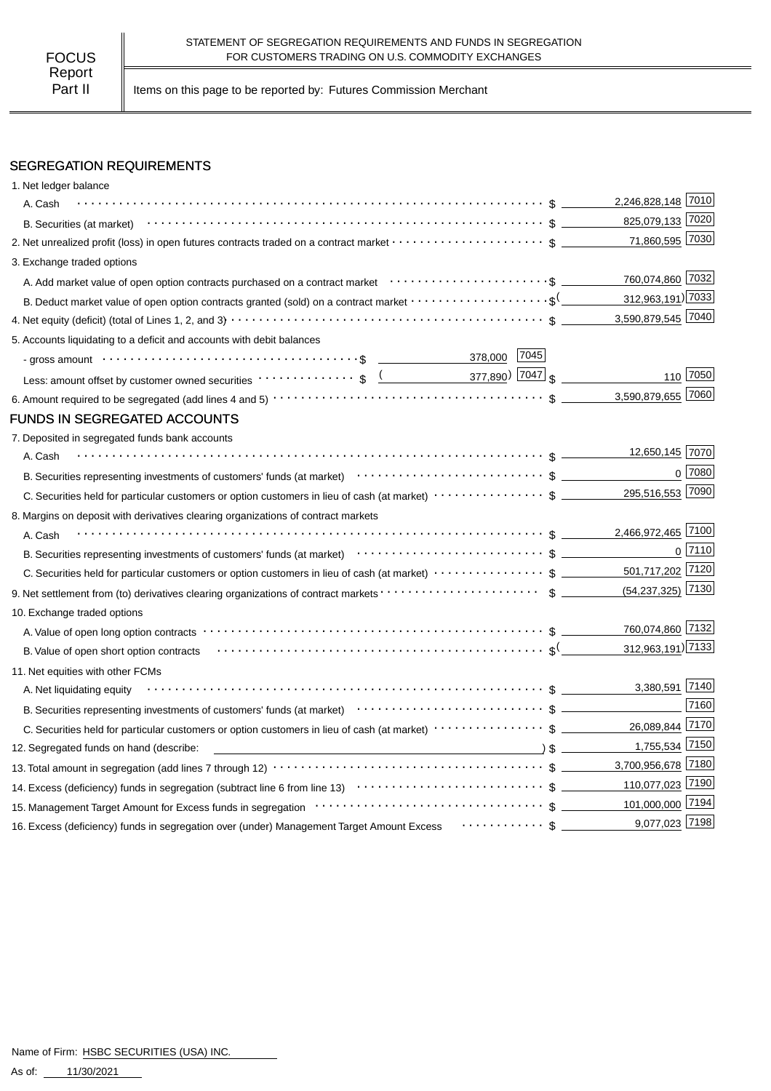Part II | Items on this page to be reported by: Futures Commission Merchant

# SEGREGATION REQUIREMENTS

| 1. Net ledger balance                                                                                                                                                                                                                                                                                                                                         |                       |                |
|---------------------------------------------------------------------------------------------------------------------------------------------------------------------------------------------------------------------------------------------------------------------------------------------------------------------------------------------------------------|-----------------------|----------------|
| A. Cash                                                                                                                                                                                                                                                                                                                                                       | 2,246,828,148 7010    |                |
|                                                                                                                                                                                                                                                                                                                                                               | 825,079,133 7020      |                |
| 2. Net unrealized profit (loss) in open futures contracts traded on a contract market $\cdots\cdots\cdots\cdots\cdots\cdots$ \$                                                                                                                                                                                                                               | 71,860,595 7030       |                |
| 3. Exchange traded options                                                                                                                                                                                                                                                                                                                                    |                       |                |
|                                                                                                                                                                                                                                                                                                                                                               | 760,074,860 7032      |                |
| B. Deduct market value of open option contracts granted (sold) on a contract market $\cdots\cdots\cdots\cdots\cdots\cdots$                                                                                                                                                                                                                                    | 312,963,191) 7033     |                |
|                                                                                                                                                                                                                                                                                                                                                               | 3,590,879,545 7040    |                |
| 5. Accounts liquidating to a deficit and accounts with debit balances                                                                                                                                                                                                                                                                                         |                       |                |
| 7045 <br>378,000                                                                                                                                                                                                                                                                                                                                              |                       |                |
| Less: amount offset by customer owned securities $\cdots \cdots \cdots \cdots$ \$ $($ 377,890 $)$ $ 7047 $ \$                                                                                                                                                                                                                                                 |                       | 110 7050       |
|                                                                                                                                                                                                                                                                                                                                                               | 3,590,879,655 7060    |                |
| <b>FUNDS IN SEGREGATED ACCOUNTS</b>                                                                                                                                                                                                                                                                                                                           |                       |                |
| 7. Deposited in segregated funds bank accounts                                                                                                                                                                                                                                                                                                                |                       |                |
| A. Cash                                                                                                                                                                                                                                                                                                                                                       | 12,650,145 7070       |                |
|                                                                                                                                                                                                                                                                                                                                                               |                       | $0^{27080}$    |
|                                                                                                                                                                                                                                                                                                                                                               | 295,516,553 7090      |                |
| 8. Margins on deposit with derivatives clearing organizations of contract markets                                                                                                                                                                                                                                                                             |                       |                |
| A. Cash                                                                                                                                                                                                                                                                                                                                                       | 2,466,972,465 7100    |                |
|                                                                                                                                                                                                                                                                                                                                                               |                       | $0\sqrt{7110}$ |
|                                                                                                                                                                                                                                                                                                                                                               | 501,717,202 7120      |                |
|                                                                                                                                                                                                                                                                                                                                                               | $(54, 237, 325)$ 7130 |                |
| 10. Exchange traded options                                                                                                                                                                                                                                                                                                                                   |                       |                |
|                                                                                                                                                                                                                                                                                                                                                               | 760,074,860 7132      |                |
| B. Value of open short option contracts $\cdots \cdots \cdots \cdots \cdots \cdots \cdots \cdots \cdots \cdots \cdots \cdots \cdots$                                                                                                                                                                                                                          | 312,963,191) 7133     |                |
| 11. Net equities with other FCMs                                                                                                                                                                                                                                                                                                                              |                       |                |
| A. Net liquidating equity                                                                                                                                                                                                                                                                                                                                     | 3,380,591 7140        |                |
|                                                                                                                                                                                                                                                                                                                                                               |                       | 7160           |
|                                                                                                                                                                                                                                                                                                                                                               | 26,089,844 7170       |                |
| $\sqrt{2}$ $\sqrt{2}$ $\sqrt{2}$ $\sqrt{2}$ $\sqrt{2}$ $\sqrt{2}$ $\sqrt{2}$ $\sqrt{2}$ $\sqrt{2}$ $\sqrt{2}$ $\sqrt{2}$ $\sqrt{2}$ $\sqrt{2}$ $\sqrt{2}$ $\sqrt{2}$ $\sqrt{2}$ $\sqrt{2}$ $\sqrt{2}$ $\sqrt{2}$ $\sqrt{2}$ $\sqrt{2}$ $\sqrt{2}$ $\sqrt{2}$ $\sqrt{2}$ $\sqrt{2}$ $\sqrt{2}$ $\sqrt{2}$ $\sqrt{2$<br>12. Segregated funds on hand (describe: | 1,755,534 7150        |                |
|                                                                                                                                                                                                                                                                                                                                                               | 3,700,956,678 7180    |                |
|                                                                                                                                                                                                                                                                                                                                                               | 110,077,023 7190      |                |
|                                                                                                                                                                                                                                                                                                                                                               | 101,000,000 7194      |                |
| 16. Excess (deficiency) funds in segregation over (under) Management Target Amount Excess  \$                                                                                                                                                                                                                                                                 | 9,077,023 7198        |                |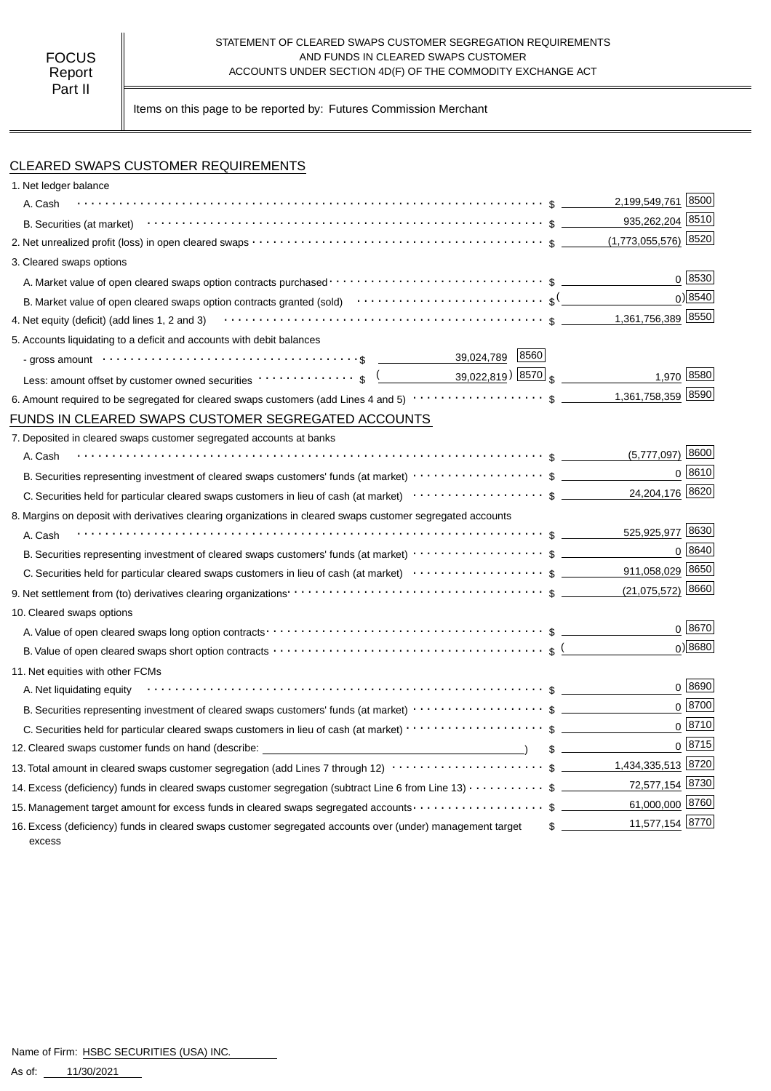#### STATEMENT OF CLEARED SWAPS CUSTOMER SEGREGATION REQUIREMENTS AND FUNDS IN CLEARED SWAPS CUSTOMER ACCOUNTS UNDER SECTION 4D(F) OF THE COMMODITY EXCHANGE ACT

Items on this page to be reported by: Futures Commission Merchant

## CLEARED SWAPS CUSTOMER REQUIREMENTS

| 1. Net ledger balance                                                                                                                                                                                                                             |                                  |
|---------------------------------------------------------------------------------------------------------------------------------------------------------------------------------------------------------------------------------------------------|----------------------------------|
| A. Cash                                                                                                                                                                                                                                           | 2,199,549,761 8500               |
|                                                                                                                                                                                                                                                   | 935,262,204 8510                 |
|                                                                                                                                                                                                                                                   | $(1,773,055,576)$ 8520           |
| 3. Cleared swaps options                                                                                                                                                                                                                          |                                  |
|                                                                                                                                                                                                                                                   | 0 8530                           |
|                                                                                                                                                                                                                                                   | $0$ <sup>8540</sup>              |
| 4. Net equity (deficit) (add lines 1, 2 and 3) $\cdots$ $\cdots$ $\cdots$ $\cdots$ $\cdots$ $\cdots$ $\cdots$ $\cdots$ $\cdots$ $\cdots$ $\cdots$ $\cdots$ $\cdots$ $\cdots$ $\cdots$                                                             | 1,361,756,389 8550               |
| 5. Accounts liquidating to a deficit and accounts with debit balances                                                                                                                                                                             |                                  |
| 39,024,789 8560<br>- gross amount or contact the control of the control of the control of the control of the control of the control of the control of the control of the control of the control of the control of the control of the control of t |                                  |
| Less: amount offset by customer owned securities $\cdots \cdots \cdots$ , $\sqrt{(2.22,819)}$ $\sqrt{(8570)}$ $\sqrt{(2.22,819)}$                                                                                                                 | 1,970 8580                       |
|                                                                                                                                                                                                                                                   |                                  |
| FUNDS IN CLEARED SWAPS CUSTOMER SEGREGATED ACCOUNTS                                                                                                                                                                                               |                                  |
| 7. Deposited in cleared swaps customer segregated accounts at banks                                                                                                                                                                               |                                  |
| A. Cash                                                                                                                                                                                                                                           | $(5,777,097)$ 8600               |
|                                                                                                                                                                                                                                                   | $0^{8610}$                       |
|                                                                                                                                                                                                                                                   | 24,204,176 8620                  |
| 8. Margins on deposit with derivatives clearing organizations in cleared swaps customer segregated accounts                                                                                                                                       |                                  |
| A. Cash                                                                                                                                                                                                                                           | 525,925,977 8630                 |
|                                                                                                                                                                                                                                                   | 0 8640                           |
|                                                                                                                                                                                                                                                   | 911,058,029 8650                 |
|                                                                                                                                                                                                                                                   |                                  |
| 10. Cleared swaps options                                                                                                                                                                                                                         |                                  |
|                                                                                                                                                                                                                                                   | $0^{8670}$                       |
|                                                                                                                                                                                                                                                   | $0$ <sup>8680</sup>              |
| 11. Net equities with other FCMs                                                                                                                                                                                                                  |                                  |
| A. Net liquidating equity                                                                                                                                                                                                                         | 0   8690                         |
|                                                                                                                                                                                                                                                   | $0^{8700}$                       |
| C. Securities held for particular cleared swaps customers in lieu of cash (at market) · · · · · · · · · · · · · · · · · · \$                                                                                                                      | $0^{8710}$                       |
| 12. Cleared swaps customer funds on hand (describe: _____________________________                                                                                                                                                                 | 0 8715                           |
| 13. Total amount in cleared swaps customer segregation (add Lines 7 through 12) $\cdots\cdots\cdots\cdots\cdots\cdots\cdots$ \$ _________1,434,335,513 8720                                                                                       |                                  |
| 14. Excess (deficiency) funds in cleared swaps customer segregation (subtract Line 6 from Line 13) $\cdots$ \$                                                                                                                                    | 72,577,154 8730                  |
| 15. Management target amount for excess funds in cleared swaps segregated accounts $\cdots\cdots\cdots\cdots\cdots\quad$ \$                                                                                                                       | 61,000,000 8760                  |
| 16. Excess (deficiency) funds in cleared swaps customer segregated accounts over (under) management target<br>excess                                                                                                                              | 11,577,154 8770<br>$\frac{1}{2}$ |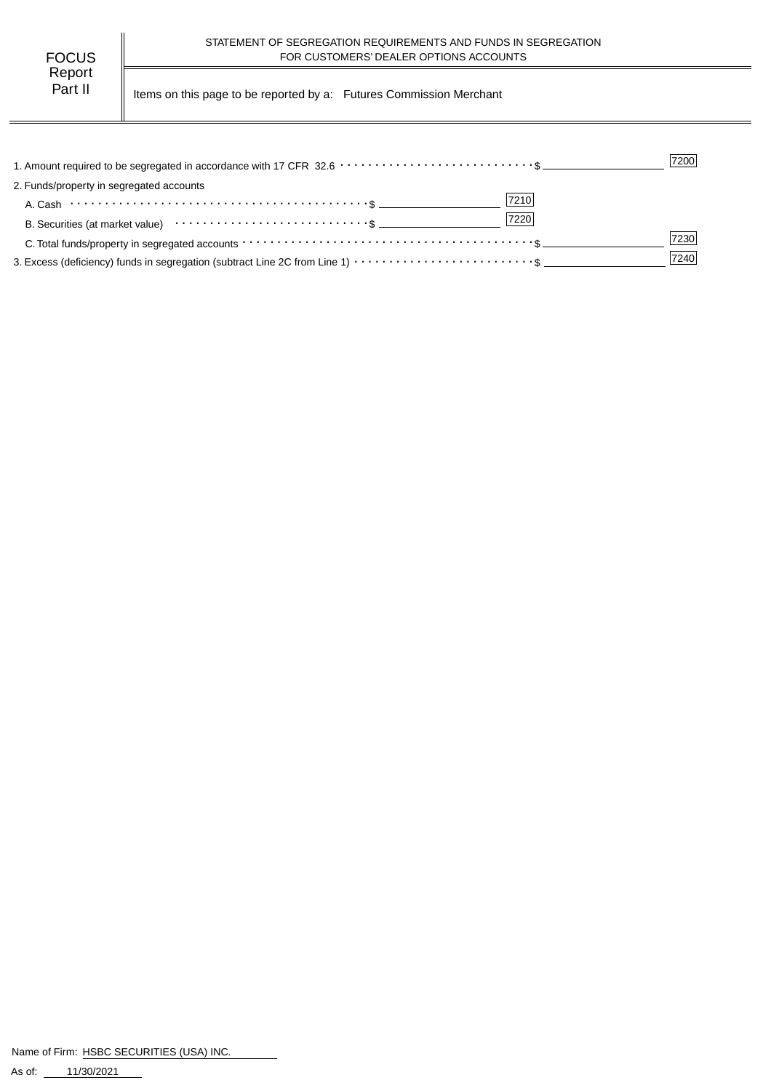| FOCUS   |  |
|---------|--|
| Report  |  |
| Part II |  |

Items on this page to be reported by a: Futures Commission Merchant

|                                                                                                                                             | 7200 |
|---------------------------------------------------------------------------------------------------------------------------------------------|------|
| 2. Funds/property in segregated accounts                                                                                                    |      |
| 7210                                                                                                                                        |      |
| 7220<br>B. Securities (at market value) contract the second securities (at market value)                                                    |      |
| C. Total funds/property in segregated accounts $\cdots \cdots \cdots \cdots \cdots \cdots \cdots \cdots \cdots \cdots \cdots \cdots \cdots$ | 7230 |
| 3. Excess (deficiency) funds in segregation (subtract Line 2C from Line 1) $\cdots \cdots \cdots \cdots \cdots \cdots \cdots$ \$            | 7240 |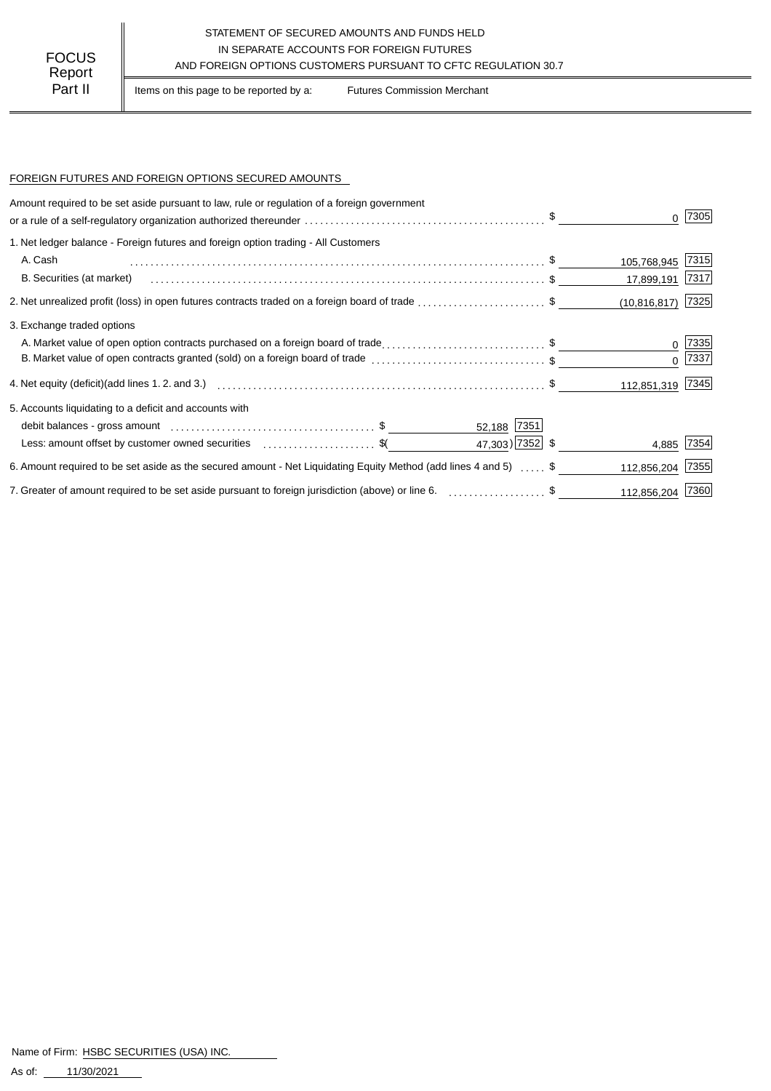### STATEMENT OF SECURED AMOUNTS AND FUNDS HELD IN SEPARATE ACCOUNTS FOR FOREIGN FUTURES AND FOREIGN OPTIONS CUSTOMERS PURSUANT TO CFTC REGULATION 30.7

Part II | Items on this page to be reported by a: Futures Commission Merchant

#### FOREIGN FUTURES AND FOREIGN OPTIONS SECURED AMOUNTS

| Amount required to be set aside pursuant to law, rule or regulation of a foreign government                                                                                                                                   |                 |                  |            |
|-------------------------------------------------------------------------------------------------------------------------------------------------------------------------------------------------------------------------------|-----------------|------------------|------------|
| or a rule of a self-regulatory organization authorized thereunder $\ldots \ldots \ldots \ldots \ldots \ldots \ldots \ldots \ldots \ldots \ldots$ .                                                                            |                 |                  | 7305       |
| 1. Net ledger balance - Foreign futures and foreign option trading - All Customers                                                                                                                                            |                 |                  |            |
| A. Cash                                                                                                                                                                                                                       |                 | 105,768,945      | 7315       |
| B. Securities (at market)                                                                                                                                                                                                     |                 | 17,899,191       | 7317       |
| 2. Net unrealized profit (loss) in open futures contracts traded on a foreign board of trade \$                                                                                                                               |                 | (10, 816, 817)   | 7325       |
| 3. Exchange traded options                                                                                                                                                                                                    |                 |                  |            |
| A. Market value of open option contracts purchased on a foreign board of trade\$                                                                                                                                              |                 |                  | 7335       |
|                                                                                                                                                                                                                               |                 | $\Omega$         | 7337       |
|                                                                                                                                                                                                                               |                 | 112,851,319 7345 |            |
| 5. Accounts liquidating to a deficit and accounts with                                                                                                                                                                        |                 |                  |            |
|                                                                                                                                                                                                                               | 52,188 7351     |                  |            |
| Less: amount offset by customer owned securities \$ (                                                                                                                                                                         | 47,303) 7352 \$ |                  | 4,885 7354 |
| 6. Amount required to be set aside as the secured amount - Net Liquidating Equity Method (add lines 4 and 5)  \$                                                                                                              |                 | 112,856,204      | 7355       |
| 7. Greater of amount required to be set aside pursuant to foreign jurisdiction (above) or line 6. [1] [1] The Summan summan summan summan summan summan summan summan summan summan summan summan summan summan summan summan |                 | 112,856,204      | 7360       |